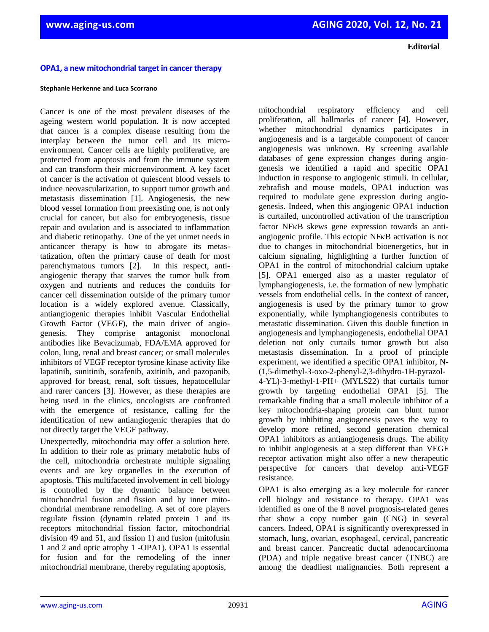**Editorial**

## **OPA1, a new mitochondrial target in cancer therapy**

## **Stephanie Herkenne and Luca Scorrano**

Cancer is one of the most prevalent diseases of the ageing western world population. It is now accepted that cancer is a complex disease resulting from the interplay between the tumor cell and its microenvironment. Cancer cells are highly proliferative, are protected from apoptosis and from the immune system and can transform their microenvironment. A key facet of cancer is the activation of quiescent blood vessels to induce neovascularization, to support tumor growth and metastasis dissemination [1]. Angiogenesis, the new blood vessel formation from preexisting one, is not only crucial for cancer, but also for embryogenesis, tissue repair and ovulation and is associated to inflammation and diabetic retinopathy. One of the yet unmet needs in anticancer therapy is how to abrogate its metastatization, often the primary cause of death for most parenchymatous tumors [2]. In this respect, antiangiogenic therapy that starves the tumor bulk from oxygen and nutrients and reduces the conduits for cancer cell dissemination outside of the primary tumor location is a widely explored avenue. Classically, antiangiogenic therapies inhibit Vascular Endothelial Growth Factor (VEGF), the main driver of angiogenesis. They comprise antagonist monoclonal antibodies like Bevacizumab, FDA/EMA approved for colon, lung, renal and breast cancer; or small molecules inhibitors of VEGF receptor tyrosine kinase activity like lapatinib, sunitinib, sorafenib, axitinib, and pazopanib, approved for breast, renal, soft tissues, hepatocellular and rarer cancers [3]. However, as these therapies are being used in the clinics, oncologists are confronted with the emergence of resistance, calling for the identification of new antiangiogenic therapies that do not directly target the VEGF pathway.

Unexpectedly, mitochondria may offer a solution here. In addition to their role as primary metabolic hubs of the cell, mitochondria orchestrate multiple signaling events and are key organelles in the execution of apoptosis. This multifaceted involvement in cell biology is controlled by the dynamic balance between mitochondrial fusion and fission and by inner mitochondrial membrane remodeling. A set of core players regulate fission (dynamin related protein 1 and its receptors mitochondrial fission factor, mitochondrial division 49 and 51, and fission 1) and fusion (mitofusin 1 and 2 and optic atrophy 1 -OPA1). OPA1 is essential for fusion and for the remodeling of the inner mitochondrial membrane, thereby regulating apoptosis,

mitochondrial respiratory efficiency and cell proliferation, all hallmarks of cancer [4]. However, whether mitochondrial dynamics participates in angiogenesis and is a targetable component of cancer angiogenesis was unknown. By screening available databases of gene expression changes during angiogenesis we identified a rapid and specific OPA1 induction in response to angiogenic stimuli. In cellular, zebrafish and mouse models, OPA1 induction was required to modulate gene expression during angiogenesis. Indeed, when this angiogenic OPA1 induction is curtailed, uncontrolled activation of the transcription factor NFKB skews gene expression towards an antiangiogenic profile. This ectopic NFKB activation is not due to changes in mitochondrial bioenergetics, but in calcium signaling, highlighting a further function of OPA1 in the control of mitochondrial calcium uptake [5]. OPA1 emerged also as a master regulator of lymphangiogenesis, i.e. the formation of new lymphatic vessels from endothelial cells. In the context of cancer, angiogenesis is used by the primary tumor to grow exponentially, while lymphangiogenesis contributes to metastatic dissemination. Given this double function in angiogenesis and lymphangiogenesis, endothelial OPA1 deletion not only curtails tumor growth but also metastasis dissemination. In a proof of principle experiment, we identified a specific OPA1 inhibitor, N- (1,5-dimethyl-3-oxo-2-phenyl-2,3-dihydro-1H-pyrazol-4-YL)-3-methyl-1-PH+ (MYLS22) that curtails tumor growth by targeting endothelial OPA1 [5]. The remarkable finding that a small molecule inhibitor of a key mitochondria-shaping protein can blunt tumor growth by inhibiting angiogenesis paves the way to develop more refined, second generation chemical OPA1 inhibitors as antiangiogenesis drugs. The ability to inhibit angiogenesis at a step different than VEGF receptor activation might also offer a new therapeutic perspective for cancers that develop anti-VEGF resistance.

OPA1 is also emerging as a key molecule for cancer cell biology and resistance to therapy. OPA1 was identified as one of the 8 novel prognosis-related genes that show a copy number gain (CNG) in several cancers. Indeed, OPA1 is significantly overexpressed in stomach, lung, ovarian, esophageal, cervical, pancreatic and breast cancer. Pancreatic ductal adenocarcinoma (PDA) and triple negative breast cancer (TNBC) are among the deadliest malignancies. Both represent a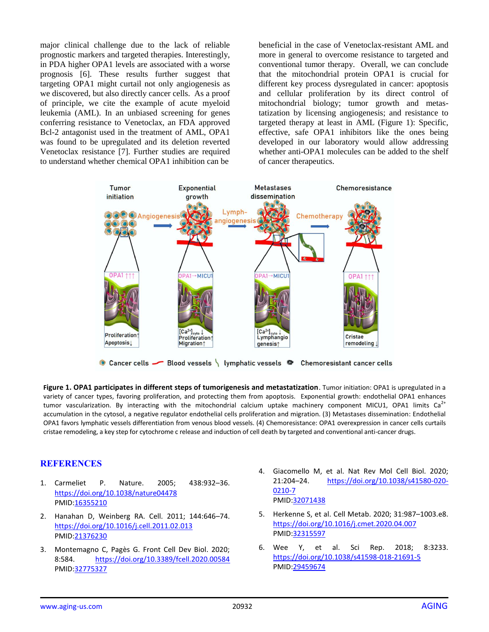major clinical challenge due to the lack of reliable prognostic markers and targeted therapies. Interestingly, in PDA higher OPA1 levels are associated with a worse prognosis [6]. These results further suggest that targeting OPA1 might curtail not only angiogenesis as we discovered, but also directly cancer cells. As a proof of principle, we cite the example of acute myeloid leukemia (AML). In an unbiased screening for genes conferring resistance to Venetoclax, an FDA approved Bcl-2 antagonist used in the treatment of AML, OPA1 was found to be upregulated and its deletion reverted Venetoclax resistance [7]. Further studies are required to understand whether chemical OPA1 inhibition can be

beneficial in the case of Venetoclax-resistant AML and more in general to overcome resistance to targeted and conventional tumor therapy. Overall, we can conclude that the mitochondrial protein OPA1 is crucial for different key process dysregulated in cancer: apoptosis and cellular proliferation by its direct control of mitochondrial biology; tumor growth and metastatization by licensing angiogenesis; and resistance to targeted therapy at least in AML (Figure 1): Specific, effective, safe OPA1 inhibitors like the ones being developed in our laboratory would allow addressing whether anti-OPA1 molecules can be added to the shelf of cancer therapeutics.



**Figure 1. OPA1 participates in different steps of tumorigenesis and metastatization**. Tumor initiation: OPA1 is upregulated in a variety of cancer types, favoring proliferation, and protecting them from apoptosis. Exponential growth: endothelial OPA1 enhances tumor vascularization. By interacting with the mitochondrial calcium uptake machinery component MICU1, OPA1 limits  $Ca<sup>2+</sup>$ accumulation in the cytosol, a negative regulator endothelial cells proliferation and migration. (3) Metastases dissemination: Endothelial OPA1 favors lymphatic vessels differentiation from venous blood vessels. (4) Chemoresistance: OPA1 overexpression in cancer cells curtails cristae remodeling, a key step for cytochrome c release and induction of cell death by targeted and conventional anti-cancer drugs.

## **REFERENCES**

- 1. Carmeliet P. Nature. 2005; 438:932–36. <https://doi.org/10.1038/nature04478> PMID[:16355210](https://www.ncbi.nlm.nih.gov/entrez/query.fcgi?cmd=Retrieve&db=PubMed&list_uids=16355210&dopt=Abstract)
- 2. Hanahan D, Weinberg RA. Cell. 2011; 144:646–74. <https://doi.org/10.1016/j.cell.2011.02.013> PMID[:21376230](https://www.ncbi.nlm.nih.gov/entrez/query.fcgi?cmd=Retrieve&db=PubMed&list_uids=21376230&dopt=Abstract)
- 3. Montemagno C, Pagès G. Front Cell Dev Biol. 2020; 8:584. <https://doi.org/10.3389/fcell.2020.00584> PMID[:32775327](https://www.ncbi.nlm.nih.gov/entrez/query.fcgi?cmd=Retrieve&db=PubMed&list_uids=32775327&dopt=Abstract)
- 4. Giacomello M, et al. Nat Rev Mol Cell Biol. 2020; 21:204–24. [https://doi.org/10.1038/s41580-020-](https://doi.org/10.1038/s41580-020-0210-7) [0210-7](https://doi.org/10.1038/s41580-020-0210-7) PMID[:32071438](https://www.ncbi.nlm.nih.gov/entrez/query.fcgi?cmd=Retrieve&db=PubMed&list_uids=32071438&dopt=Abstract)
- 5. Herkenne S, et al. Cell Metab. 2020; 31:987–1003.e8. <https://doi.org/10.1016/j.cmet.2020.04.007> PMID[:32315597](https://www.ncbi.nlm.nih.gov/entrez/query.fcgi?cmd=Retrieve&db=PubMed&list_uids=32315597&dopt=Abstract)
- 6. Wee Y, et al. Sci Rep. 2018; 8:3233. <https://doi.org/10.1038/s41598-018-21691-5> PMID[:29459674](https://www.ncbi.nlm.nih.gov/entrez/query.fcgi?cmd=Retrieve&db=PubMed&list_uids=29459674&dopt=Abstract)